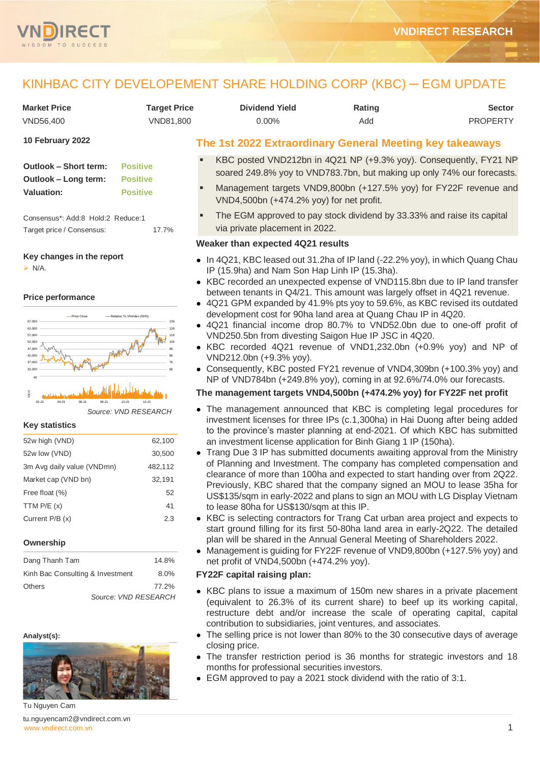

# KINHBAC CITY DEVELOPEMENT SHARE HOLDING CORP (KBC) ─ EGM UPDATE

| <b>Market Price</b><br>VND56,400                                                                                                                                                                              | <b>Target Price</b><br>VND81,800 | <b>Dividend Yield</b><br>0.00%                                                                                                                                                                                            | Rating<br>Add | <b>Sector</b><br><b>PROPERTY</b>                                                                                                                                                                                                                                                                                                                                                              |
|---------------------------------------------------------------------------------------------------------------------------------------------------------------------------------------------------------------|----------------------------------|---------------------------------------------------------------------------------------------------------------------------------------------------------------------------------------------------------------------------|---------------|-----------------------------------------------------------------------------------------------------------------------------------------------------------------------------------------------------------------------------------------------------------------------------------------------------------------------------------------------------------------------------------------------|
| 10 February 2022                                                                                                                                                                                              |                                  | The 1st 2022 Extraordinary General Meeting key takeaways                                                                                                                                                                  |               |                                                                                                                                                                                                                                                                                                                                                                                               |
| <b>Positive</b><br><b>Outlook - Short term:</b><br>Outlook - Long term:<br><b>Positive</b><br><b>Positive</b><br><b>Valuation:</b><br>Consensus*: Add:8 Hold:2 Reduce:1<br>Target price / Consensus:<br>17.7% |                                  | VND4,500bn (+474.2% yoy) for net profit.<br>via private placement in 2022.                                                                                                                                                |               | KBC posted VND212bn in 4Q21 NP (+9.3% yoy). Consequently, FY21 NP<br>soared 249.8% yoy to VND783.7bn, but making up only 74% our forecasts.<br>Management targets VND9,800bn (+127.5% yoy) for FY22F revenue and<br>The EGM approved to pay stock dividend by 33.33% and raise its capital                                                                                                    |
|                                                                                                                                                                                                               |                                  | Weaker than expected 4Q21 results                                                                                                                                                                                         |               |                                                                                                                                                                                                                                                                                                                                                                                               |
| Key changes in the report<br>$\triangleright$ N/A.                                                                                                                                                            |                                  | IP (15.9ha) and Nam Son Hap Linh IP (15.3ha).                                                                                                                                                                             |               | • In 4Q21, KBC leased out 31.2ha of IP land (-22.2% yoy), in which Quang Chau<br>• KBC recorded an unexpected expense of VND115.8bn due to IP land transfer<br>between tenants in Q4/21. This amount was largely offset in 4Q21 revenue.                                                                                                                                                      |
| <b>Price performance</b><br>-Relative To VNIndex (RHS)<br>-Price Close<br>67,000<br>62,000<br>57,000<br>52,000<br>47,000<br>42,000<br>37,000<br>32.000                                                        | 126<br>116                       | development cost for 90ha land area at Quang Chau IP in 4Q20.<br>VND250.5bn from divesting Saigon Hue IP JSC in 4Q20.<br>VND212.0bn (+9.3% yoy).<br>NP of VND784bn (+249.8% yoy), coming in at 92.6%/74.0% our forecasts. |               | • 4Q21 GPM expanded by 41.9% pts yoy to 59.6%, as KBC revised its outdated<br>• 4Q21 financial income drop 80.7% to VND52.0bn due to one-off profit of<br>• KBC recorded $4Q21$ revenue of VND1,232.0bn $(+0.9\%$ yoy) and NP of<br>• Consequently, KBC posted FY21 revenue of VND4,309bn (+100.3% yoy) and                                                                                   |
| Joln<br>10-21                                                                                                                                                                                                 |                                  |                                                                                                                                                                                                                           |               | The management targets VND4,500bn (+474.2% yoy) for FY22F net profit                                                                                                                                                                                                                                                                                                                          |
| $02 - 21$<br>$12 - 21$<br>Source: VND RESEARCH<br><b>Key statistics</b><br>52w high (VND)<br>62,100                                                                                                           |                                  | an investment license application for Binh Giang 1 IP (150ha).                                                                                                                                                            |               | • The management announced that KBC is completing legal procedures for<br>investment licenses for three IPs (c.1,300ha) in Hai Duong after being added<br>to the province's master planning at end-2021. Of which KBC has submitted                                                                                                                                                           |
| 52w low (VND)<br>30,500<br>3m Avg daily value (VNDmn)<br>482,112<br>Market cap (VND bn)<br>32,191<br>Free float (%)<br>TTM $P/E(x)$                                                                           | 52<br>41                         |                                                                                                                                                                                                                           |               | • Trang Due 3 IP has submitted documents awaiting approval from the Ministry<br>of Planning and Investment. The company has completed compensation and<br>clearance of more than 100ha and expected to start handing over from 2Q22.<br>Previously, KBC shared that the company signed an MOU to lease 35ha for<br>US\$135/sqm in early-2022 and plans to sign an MOU with LG Display Vietnam |
| Current P/B (x)<br>Ownership                                                                                                                                                                                  | 2.3                              | to lease 80ha for US\$130/sqm at this IP.<br>plan will be shared in the Annual General Meeting of Shareholders 2022.                                                                                                      |               | • KBC is selecting contractors for Trang Cat urban area project and expects to<br>start ground filling for its first 50-80ha land area in early-2Q22. The detailed<br>• Management is guiding for FY22F revenue of VND9,800bn (+127.5% yoy) and                                                                                                                                               |
| Dang Thanh Tam<br>14.8%                                                                                                                                                                                       |                                  | net profit of VND4,500bn (+474.2% yoy).                                                                                                                                                                                   |               |                                                                                                                                                                                                                                                                                                                                                                                               |
| Kinh Bac Consulting & Investment                                                                                                                                                                              | 8.0%                             | <b>FY22F capital raising plan:</b>                                                                                                                                                                                        |               |                                                                                                                                                                                                                                                                                                                                                                                               |
| <b>Others</b><br>77.2%<br>Source: VND RESEARCH                                                                                                                                                                |                                  | contribution to subsidiaries, joint ventures, and associates.                                                                                                                                                             |               | • KBC plans to issue a maximum of 150m new shares in a private placement<br>(equivalent to 26.3% of its current share) to beef up its working capital,<br>restructure debt and/or increase the scale of operating capital, capital<br>• The selling price is not lower than 80% to the 30 consecutive days of average                                                                         |
| Analyst(s):<br>Tu Nguyen Cam                                                                                                                                                                                  |                                  | closing price.<br>months for professional securities investors.<br>• EGM approved to pay a 2021 stock dividend with the ratio of 3:1.                                                                                     |               | • The transfer restriction period is 36 months for strategic investors and 18                                                                                                                                                                                                                                                                                                                 |

[www.vndirect.com.vn](file:///C:/Users/Andre/Downloads/www.vndirect.com.vn) 2001 tu.nguyencam2@vndirect.com.vn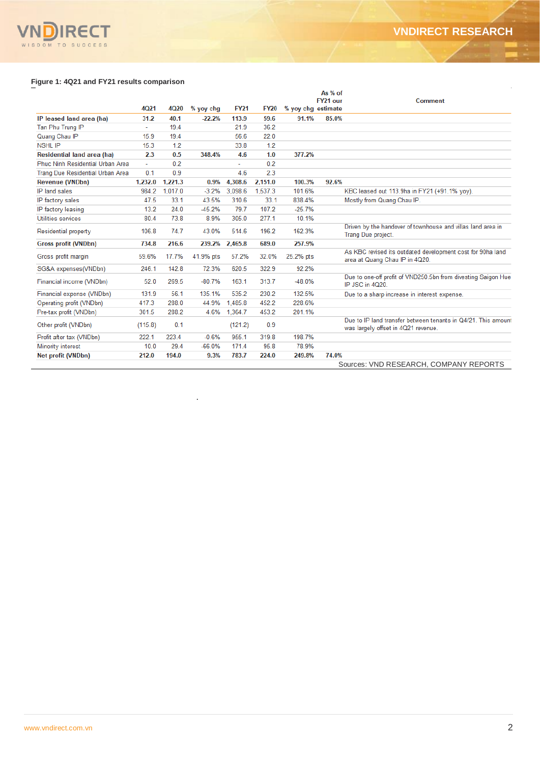## VNDIRECT  $\overline{\mathsf{V}}$

## **Figure 1: 4Q21 and FY21 results comparison**

|                                         |             |         |           |             |             |                    | As % of  |                                                                                                      |
|-----------------------------------------|-------------|---------|-----------|-------------|-------------|--------------------|----------|------------------------------------------------------------------------------------------------------|
|                                         | <b>4Q21</b> | 4Q20    | % yoy chg | <b>FY21</b> | <b>FY20</b> | % yoy chg estimate | FY21 our | <b>Comment</b>                                                                                       |
| IP leased land area (ha)                | 31.2        | 40.1    | $-22.2%$  | 113.9       | 59.6        | 91.1%              | 85.0%    |                                                                                                      |
| Tan Phu Trung IP                        |             | 19.4    |           | 21.9        | 36.2        |                    |          |                                                                                                      |
| Quang Chau IP                           | 15.9        | 19.4    |           | 56.6        | 22.0        |                    |          |                                                                                                      |
| <b>NSHL IP</b>                          | 15.3        | 1.2     |           | 33.8        | 1.2         |                    |          |                                                                                                      |
| Residential land area (ha)              | 2.3         | 0.5     | 348.4%    | 4.6         | 1.0         | 377.2%             |          |                                                                                                      |
| Phuc Ninh Residential Urban Area        |             | 0.2     |           |             | 0.2         |                    |          |                                                                                                      |
| <b>Trang Due Residential Urban Area</b> | 0.1         | 0.9     |           | 4.6         | 2.3         |                    |          |                                                                                                      |
| <b>Revenue (VNDbn)</b>                  | 1.232.0     | 1.221.3 | 0.9%      | 4,308.6     | 2.151.0     | 100.3%             | 92.6%    |                                                                                                      |
| IP land sales                           | 984.2       | 1,017.0 | $-3.2%$   | 3.098.6     | 1.537.3     | 101.6%             |          | KBC leased out 113.9ha in FY21 (+91.1% yoy).                                                         |
| IP factory sales                        | 47.5        | 33.1    | 43.5%     | 310.6       | 33.1        | 838.4%             |          | Mostly from Quang Chau IP.                                                                           |
| IP factory leasing                      | 13.2        | 24.0    | $-45.2%$  | 79.7        | 107.2       | $-25.7%$           |          |                                                                                                      |
| Utilities services                      | 80.4        | 73.8    | 8.9%      | 305.0       | 277.1       | 10.1%              |          |                                                                                                      |
| Residential property                    | 106.8       | 74.7    | 43.0%     | 514.6       | 196.2       | 162.3%             |          | Driven by the handover of townhouse and villas land area in<br>Trang Due project.                    |
| <b>Gross profit (VNDbn)</b>             | 734.8       | 216.6   | 239.2%    | 2,465.8     | 689.0       | 257.9%             |          |                                                                                                      |
| Gross profit margin                     | 59.6%       | 17.7%   | 41.9% pts | 57.2%       | 32.0%       | 25.2% pts          |          | As KBC revised its outdated development cost for 90ha land<br>area at Quang Chau IP in 4Q20.         |
| SG&A expenses(VNDbn)                    | 246.1       | 142.8   | 72.3%     | 620.5       | 322.9       | 92.2%              |          |                                                                                                      |
| Financial income (VNDbn)                | 52.0        | 269.5   | $-80.7%$  | 163.1       | 313.7       | $-48.0%$           |          | Due to one-off profit of VND250.5bn from divesting Saigon Hue<br>IP JSC in 4020.                     |
| Financial expense (VNDbn)               | 131.9       | 56.1    | 135.1%    | 535.2       | 230.2       | 132.5%             |          | Due to a sharp increase in interest expense.                                                         |
| Operating profit (VNDbn)                | 417.3       | 288.0   | 44.9%     | 1.485.8     | 452.2       | 228.6%             |          |                                                                                                      |
| Pre-tax profit (VNDbn)                  | 301.5       | 288.2   | 4.6%      | 1.364.7     | 453.2       | 201.1%             |          |                                                                                                      |
| Other profit (VNDbn)                    | (115.8)     | 0.1     |           | (121.2)     | 0.9         |                    |          | Due to IP land transfer between tenants in Q4/21. This amount<br>was largely offset in 4Q21 revenue. |
| Profit after tax (VNDbn)                | 222.1       | 223.4   | $-0.6%$   | 955.1       | 319.8       | 198.7%             |          |                                                                                                      |
| Minority interest                       | 10.0        | 29.4    | $-66.0%$  | 171.4       | 95.8        | 78.9%              |          |                                                                                                      |
| Net profit (VNDbn)                      | 212.0       | 194.0   | 9.3%      | 783.7       | 224.0       | 249.8%             | 74.0%    |                                                                                                      |
|                                         |             |         |           |             |             |                    |          | Sources: VND RESEARCH, COMPANY REPORTS                                                               |

.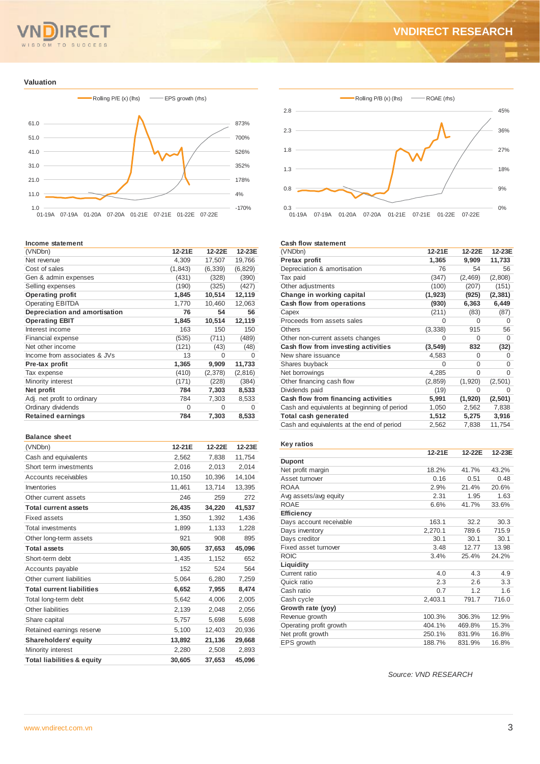#### $T<sub>O</sub>$ **SUCCESS**  $M$

## **VNDIRECT RESEARCH**

#### **Valuation**



#### **Income statement**

| (VNDbn)                       | 12-21E   | 12-22E   | 12-23E   |
|-------------------------------|----------|----------|----------|
| Net revenue                   | 4,309    | 17,507   | 19,766   |
| Cost of sales                 | (1, 843) | (6, 339) | (6, 829) |
| Gen & admin expenses          | (431)    | (328)    | (390)    |
| Selling expenses              | (190)    | (325)    | (427)    |
| <b>Operating profit</b>       | 1,845    | 10,514   | 12,119   |
| <b>Operating EBITDA</b>       | 1,770    | 10,460   | 12,063   |
| Depreciation and amortisation | 76       | 54       | 56       |
| <b>Operating EBIT</b>         | 1,845    | 10,514   | 12,119   |
| Interest income               | 163      | 150      | 150      |
| <b>Financial expense</b>      | (535)    | (711)    | (489)    |
| Net other income              | (121)    | (43)     | (48)     |
| Income from associates & JVs  | 13       | O        | O        |
| Pre-tax profit                | 1,365    | 9,909    | 11,733   |
| Tax expense                   | (410)    | (2,378)  | (2,816)  |
| Minority interest             | (171)    | (228)    | (384)    |
| Net profit                    | 784      | 7,303    | 8,533    |
| Adj. net profit to ordinary   | 784      | 7,303    | 8,533    |
| Ordinary dividends            | 0        | $\Omega$ | O        |
| <b>Retained earnings</b>      | 784      | 7,303    | 8,533    |
|                               |          |          |          |

#### **Balance sheet**

| (VNDbn)                               | 12-21E | 12-22E | 12-23E |
|---------------------------------------|--------|--------|--------|
| Cash and equivalents                  | 2,562  | 7,838  | 11,754 |
| Short term investments                | 2,016  | 2,013  | 2,014  |
| Accounts receivables                  | 10,150 | 10,396 | 14,104 |
| Inventories                           | 11,461 | 13,714 | 13,395 |
| Other current assets                  | 246    | 259    | 272    |
| <b>Total current assets</b>           | 26,435 | 34,220 | 41,537 |
| <b>Fixed assets</b>                   | 1,350  | 1,392  | 1,436  |
| <b>Total investments</b>              | 1,899  | 1,133  | 1,228  |
| Other long-term assets                | 921    | 908    | 895    |
| <b>Total assets</b>                   | 30,605 | 37,653 | 45,096 |
| Short-term debt                       | 1,435  | 1,152  | 652    |
| Accounts payable                      | 152    | 524    | 564    |
| Other current liabilities             | 5,064  | 6,280  | 7,259  |
| <b>Total current liabilities</b>      | 6,652  | 7,955  | 8,474  |
| Total long-term debt                  | 5,642  | 4,006  | 2,005  |
| Other liabilities                     | 2,139  | 2,048  | 2,056  |
| Share capital                         | 5,757  | 5,698  | 5,698  |
| Retained earnings reserve             | 5,100  | 12,403 | 20,936 |
| <b>Shareholders' equity</b>           | 13,892 | 21,136 | 29,668 |
| Minority interest                     | 2,280  | 2,508  | 2,893  |
| <b>Total liabilities &amp; equity</b> | 30.605 | 37.653 | 45,096 |



#### **Cash flow statement**

| (VNDbn)                                     | 12-21E   | 12-22E   | 12-23E   |
|---------------------------------------------|----------|----------|----------|
| Pretax profit                               | 1,365    | 9,909    | 11,733   |
| Depreciation & amortisation                 | 76       | 54       | 56       |
| Tax paid                                    | (347)    | (2, 469) | (2,808)  |
| Other adjustments                           | (100)    | (207)    | (151)    |
| Change in working capital                   | (1, 923) | (925)    | (2, 381) |
| Cash flow from operations                   | (930)    | 6,363    | 6,449    |
| Capex                                       | (211)    | (83)     | (87)     |
| Proceeds from assets sales                  | 0        | 0        | $\Omega$ |
| Others                                      | (3, 338) | 915      | 56       |
| Other non-current assets changes            | O        | $\Omega$ | $\Omega$ |
| Cash flow from investing activities         | (3,549)  | 832      | (32)     |
| New share issuance                          | 4,583    | $\Omega$ | O        |
| Shares buyback                              | 0        | $\Omega$ | 0        |
| Net borrowings                              | 4,285    | O        | O        |
| Other financing cash flow                   | (2, 859) | (1,920)  | (2,501)  |
| Dividends paid                              | (19)     | $\Omega$ | 0        |
| Cash flow from financing activities         | 5,991    | (1,920)  | (2, 501) |
| Cash and equivalents at beginning of period | 1,050    | 2,562    | 7,838    |
| Total cash generated                        | 1,512    | 5,275    | 3,916    |
| Cash and equivalents at the end of period   | 2,562    | 7,838    | 11,754   |
|                                             |          |          |          |

#### **Key ratios**

|                         | 12-21E  | 12-22E | 12-23E |
|-------------------------|---------|--------|--------|
| <b>Dupont</b>           |         |        |        |
| Net profit margin       | 18.2%   | 41.7%  | 43.2%  |
| Asset turnover          | 0.16    | 0.51   | 0.48   |
| <b>ROAA</b>             | 2.9%    | 21.4%  | 20.6%  |
| Avg assets/avg equity   | 2.31    | 1.95   | 1.63   |
| <b>ROAE</b>             | 6.6%    | 41.7%  | 33.6%  |
| <b>Efficiency</b>       |         |        |        |
| Days account receivable | 163.1   | 32.2   | 30.3   |
| Days inventory          | 2,270.1 | 789.6  | 715.9  |
| Days creditor           | 30.1    | 30.1   | 30.1   |
| Fixed asset turnover    | 3.48    | 12.77  | 13.98  |
| <b>ROIC</b>             | 3.4%    | 25.4%  | 24.2%  |
| Liquidity               |         |        |        |
| Current ratio           | 4.0     | 4.3    | 4.9    |
| Quick ratio             | 2.3     | 2.6    | 3.3    |
| Cash ratio              | 0.7     | 1.2    | 1.6    |
| Cash cycle              | 2,403.1 | 791.7  | 716.0  |
| Growth rate (yoy)       |         |        |        |
| Revenue growth          | 100.3%  | 306.3% | 12.9%  |
| Operating profit growth | 404.1%  | 469.8% | 15.3%  |
| Net profit growth       | 250.1%  | 831.9% | 16.8%  |
| EPS growth              | 188.7%  | 831.9% | 16.8%  |

*Source: VND RESEARCH*